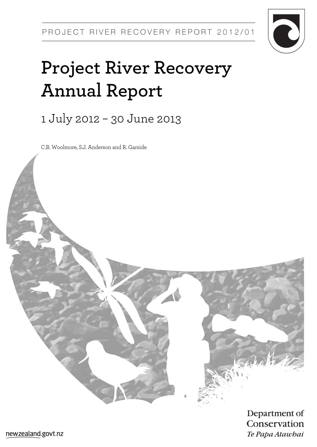

# **Project River Recovery Annual Report**

1 July 2012 – 30 June 2013

C.B. Woolmore, S.J. Anderson and R. Garside

Department of Conservation Te Papa Atawhai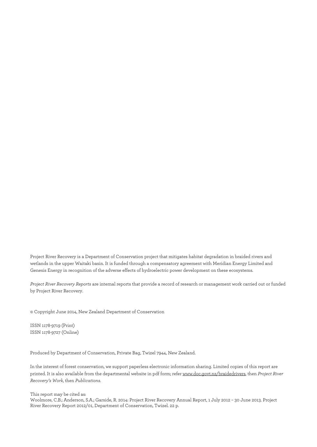Project River Recovery is a Department of Conservation project that mitigates habitat degradation in braided rivers and wetlands in the upper Waitaki basin. It is funded through a compensatory agreement with Meridian Energy Limited and Genesis Energy in recognition of the adverse effects of hydroelectric power development on these ecosystems.

*Project River Recovery Reports* are internal reports that provide a record of research or management work carried out or funded by Project River Recovery.

© Copyright June 2014, New Zealand Department of Conservation

ISSN 1178-9719 (Print) ISSN 1178-9727 (Online)

Produced by Department of Conservation, Private Bag, Twizel 7944, New Zealand.

In the interest of forest conservation, we support paperless electronic information sharing. Limited copies of this report are printed. It is also available from the departmental website in pdf form; refe[r www.doc.govt.nz/braidedrivers,](http://www.doc.govt.nz/braidedrivers) then *Project River Recovery's Work*, then *Publications*.

#### This report may be cited as:

Woolmore, C.B.; Anderson, S.A.; Garside, R. 2014: Project River Recovery Annual Report, 1 July 2012 – 30 June 2013. Project River Recovery Report 2012/01, Department of Conservation, Twizel. 22 p.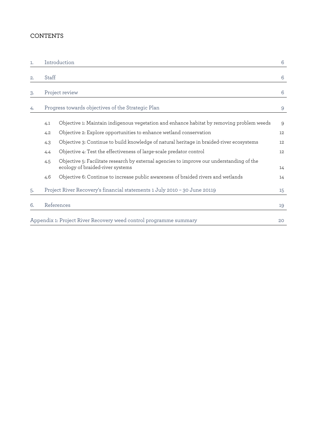### **CONTENTS**

| 1.  |       | Introduction                                                                                                                  | 6  |
|-----|-------|-------------------------------------------------------------------------------------------------------------------------------|----|
| 2.  | Staff |                                                                                                                               | 6  |
| 3.  |       | Project review                                                                                                                | 6  |
| 4.  |       | Progress towards objectives of the Strategic Plan                                                                             | 9  |
|     | 4.1   | Objective 1: Maintain indigenous vegetation and enhance habitat by removing problem weeds                                     | 9  |
|     | 4.2   | Objective 2: Explore opportunities to enhance wetland conservation                                                            | 12 |
|     | 4.3   | Objective 3: Continue to build knowledge of natural heritage in braided-river ecosystems                                      | 12 |
|     | 4.4   | Objective 4: Test the effectiveness of large-scale predator control                                                           | 12 |
|     | 4.5   | Objective 5: Facilitate research by external agencies to improve our understanding of the<br>ecology of braided-river systems | 14 |
|     | 4.6   | Objective 6: Continue to increase public awareness of braided rivers and wetlands                                             | 14 |
| .5. |       | Project River Recovery's financial statements 1 July 2010 - 30 June 20119                                                     | 15 |
| 6.  |       | References                                                                                                                    | 19 |
|     |       | Appendix 1: Project River Recovery weed control programme summary                                                             | 20 |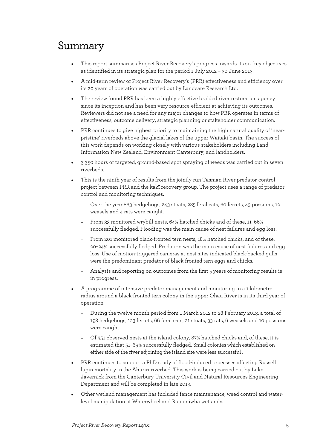# Summary

- This report summarises Project River Recovery's progress towards its six key objectives as identified in its strategic plan for the period 1 July 2012 – 30 June 2013.
- A mid-term review of Project River Recovery's (PRR) effectiveness and efficiency over its 20 years of operation was carried out by Landcare Research Ltd.
- The review found PRR has been a highly effective braided river restoration agency since its inception and has been very resource-efficient at achieving its outcomes. Reviewers did not see a need for any major changes to how PRR operates in terms of effectiveness, outcome delivery, strategic planning or stakeholder communication.
- PRR continues to give highest priority to maintaining the high natural quality of 'nearpristine' riverbeds above the glacial lakes of the upper Waitaki basin. The success of this work depends on working closely with various stakeholders including Land Information New Zealand, Environment Canterbury, and landholders.
- 3 350 hours of targeted, ground-based spot spraying of weeds was carried out in seven riverbeds.
- This is the ninth year of results from the jointly run Tasman River predator-control project between PRR and the kakī recovery group. The project uses a range of predator control and monitoring techniques.
	- − Over the year 863 hedgehogs, 243 stoats, 285 feral cats, 60 ferrets, 43 possums, 12 weasels and 4 rats were caught.
	- − From 33 monitored wrybill nests, 64% hatched chicks and of these, 11–66% successfully fledged. Flooding was the main cause of nest failures and egg loss.
	- − From 201 monitored black-fronted tern nests, 18% hatched chicks, and of these, 20–24% successfully fledged. Predation was the main cause of nest failures and egg loss. Use of motion-triggered cameras at nest sites indicated black-backed gulls were the predominant predator of black-fronted tern eggs and chicks.
	- − Analysis and reporting on outcomes from the first 5 years of monitoring results is in progress.
- A programme of intensive predator management and monitoring in a 1 kilometre radius around a black-fronted tern colony in the upper Ohau River is in its third year of operation.
	- − During the twelve month period from 1 March 2012 to 28 February 2013, a total of 198 hedgehogs, 123 ferrets, 66 feral cats, 21 stoats, 33 rats, 6 weasels and 10 possums were caught.
	- − Of 351 observed nests at the island colony, 87% hatched chicks and, of these, it is estimated that 51–69% successfully fledged. Small colonies which established on either side of the river adjoining the island site were less successful .
- PRR continues to support a PhD study of flood-induced processes affecting Russell lupin mortality in the Ahuriri riverbed. This work is being carried out by Luke Javernick from the Canterbury University Civil and Natural Resources Engineering Department and will be completed in late 2013.
- Other wetland management has included fence maintenance, weed control and waterlevel manipulation at Waterwheel and Ruataniwha wetlands.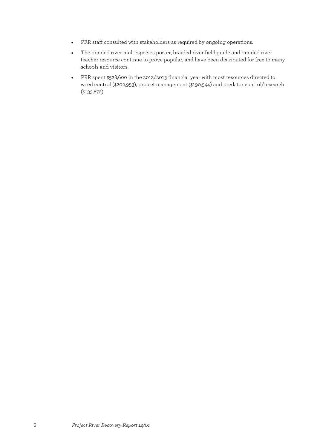- PRR staff consulted with stakeholders as required by ongoing operations.
- The braided river multi-species poster, braided river field guide and braided river teacher resource continue to prove popular, and have been distributed for free to many schools and visitors.
- PRR spent \$528,600 in the 2012/2013 financial year with most resources directed to weed control (\$202,953), project management (\$190,544) and predator control/research (\$133,872).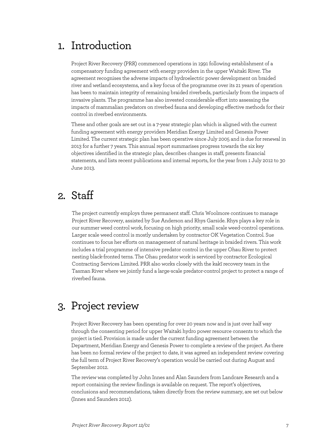# 1. Introduction

Project River Recovery (PRR) commenced operations in 1991 following establishment of a compensatory funding agreement with energy providers in the upper Waitaki River. The agreement recognises the adverse impacts of hydroelectric power development on braided river and wetland ecosystems, and a key focus of the programme over its 21 years of operation has been to maintain integrity of remaining braided riverbeds, particularly from the impacts of invasive plants. The programme has also invested considerable effort into assessing the impacts of mammalian predators on riverbed fauna and developing effective methods for their control in riverbed environments.

These and other goals are set out in a 7-year strategic plan which is aligned with the current funding agreement with energy providers Meridian Energy Limited and Genesis Power Limited. The current strategic plan has been operative since July 2005 and is due for renewal in 2013 for a further 7 years. This annual report summarises progress towards the six key objectives identified in the strategic plan, describes changes in staff, presents financial statements, and lists recent publications and internal reports, for the year from 1 July 2012 to 30 June 2013.

# 2. Staff

The project currently employs three permanent staff. Chris Woolmore continues to manage Project River Recovery, assisted by Sue Anderson and Rhys Garside. Rhys plays a key role in our summer weed control work, focusing on high priority, small scale weed-control operations. Larger scale weed control is mostly undertaken by contractor OK Vegetation Control. Sue continues to focus her efforts on management of natural heritage in braided rivers. This work includes a trial programme of intensive predator control in the upper Ohau River to protect nesting black-fronted terns. The Ohau predator work is serviced by contractor Ecological Contracting Services Limited. PRR also works closely with the kakī recovery team in the Tasman River where we jointly fund a large-scale predator-control project to protect a range of riverbed fauna.

# 3. Project review

Project River Recovery has been operating for over 20 years now and is just over half way through the consenting period for upper Waitaki hydro power resource consents to which the project is tied. Provision is made under the current funding agreement between the Department, Meridian Energy and Genesis Power to complete a review of the project. As there has been no formal review of the project to date, it was agreed an independent review covering the full term of Project River Recovery's operation would be carried out during August and September 2012.

The review was completed by John Innes and Alan Saunders from Landcare Research and a report containing the review findings is available on request. The report's objectives, conclusions and recommendations, taken directly from the review summary, are set out below (Innes and Saunders 2012).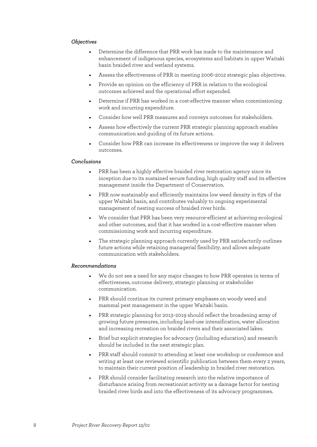#### *Objectives*

- Determine the difference that PRR work has made to the maintenance and enhancement of indigenous species, ecosystems and habitats in upper Waitaki basin braided river and wetland systems.
- Assess the effectiveness of PRR in meeting 2006–2012 strategic plan objectives.
- Provide an opinion on the efficiency of PRR in relation to the ecological outcomes achieved and the operational effort expended.
- Determine if PRR has worked in a cost-effective manner when commissioning work and incurring expenditure.
- Consider how well PRR measures and conveys outcomes for stakeholders.
- Assess how effectively the current PRR strategic planning approach enables communication and guiding of its future actions.
- Consider how PRR can increase its effectiveness or improve the way it delivers outcomes.

#### *Conclusions*

- PRR has been a highly effective braided river restoration agency since its inception due to its sustained secure funding, high quality staff and its effective management inside the Department of Conservation.
- PRR now sustainably and efficiently maintains low weed density in 63% of the upper Waitaki basin, and contributes valuably to ongoing experimental management of nesting success of braided river birds.
- We consider that PRR has been very resource-efficient at achieving ecological and other outcomes, and that it has worked in a cost-effective manner when commissioning work and incurring expenditure.
- The strategic planning approach currently used by PRR satisfactorily outlines future actions while retaining managerial flexibility, and allows adequate communication with stakeholders.

#### *Recommendations*

- We do not see a need for any major changes to how PRR operates in terms of effectiveness, outcome delivery, strategic planning or stakeholder communication.
- PRR should continue its current primary emphases on woody weed and mammal pest management in the upper Waitaki basin.
- PRR strategic planning for 2013–2019 should reflect the broadening array of growing future pressures, including land-use intensification, water allocation and increasing recreation on braided rivers and their associated lakes.
- Brief but explicit strategies for advocacy (including education) and research should be included in the next strategic plan.
- PRR staff should commit to attending at least one workshop or conference and writing at least one reviewed scientific publication between them every 2 years, to maintain their current position of leadership in braided river restoration.
- PRR should consider facilitating research into the relative importance of disturbance arising from recreationist activity as a damage factor for nesting braided river birds and into the effectiveness of its advocacy programmes.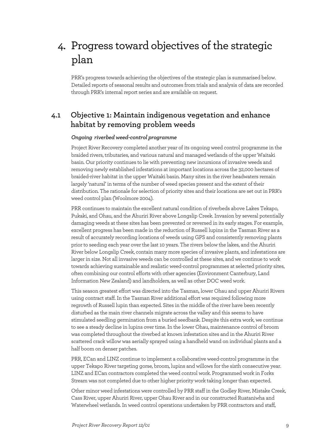# 4. Progress toward objectives of the strategic plan

PRR's progress towards achieving the objectives of the strategic plan is summarised below. Detailed reports of seasonal results and outcomes from trials and analysis of data are recorded through PRR's internal report series and are available on request.

### **4.1 Objective 1: Maintain indigenous vegetation and enhance habitat by removing problem weeds**

#### *Ongoing riverbed weed-control programme*

Project River Recovery completed another year of its ongoing weed control programme in the braided rivers, tributaries, and various natural and managed wetlands of the upper Waitaki basin. Our priority continues to lie with preventing new incursions of invasive weeds and removing newly established infestations at important locations across the 32,000 hectares of braided-river habitat in the upper Waitaki basin. Many sites in the river headwaters remain largely 'natural' in terms of the number of weed species present and the extent of their distribution. The rationale for selection of priority sites and their locations are set out in PRR's weed control plan (Woolmore 2004).

PRR continues to maintain the excellent natural condition of riverbeds above Lakes Tekapo, Pukaki, and Ohau, and the Ahuriri River above Longslip Creek. Invasion by several potentially damaging weeds at these sites has been prevented or reversed in its early stages. For example, excellent progress has been made in the reduction of Russell lupins in the Tasman River as a result of accurately recording locations of weeds using GPS and consistently removing plants prior to seeding each year over the last 10 years. The rivers below the lakes, and the Ahuriri River below Longslip Creek, contain many more species of invasive plants, and infestations are larger in size. Not all invasive weeds can be controlled at these sites, and we continue to work towards achieving sustainable and realistic weed-control programmes at selected priority sites, often combining our control efforts with other agencies (Environment Canterbury, Land Information New Zealand) and landholders, as well as other DOC weed work.

This season greatest effort was directed into the Tasman, lower Ohau and upper Ahuriri Rivers using contract staff. In the Tasman River additional effort was required following more regrowth of Russell lupin than expected. Sites in the middle of the river have been recently disturbed as the main river channels migrate across the valley and this seems to have stimulated seedling germination from a buried seedbank. Despite this extra work, we continue to see a steady decline in lupins over time. In the lower Ohau, maintenance control of broom was completed throughout the riverbed at known infestation sites and in the Ahuriri River scattered crack willow was aerially sprayed using a handheld wand on individual plants and a half boom on denser patches.

PRR, ECan and LINZ continue to implement a collaborative weed-control programme in the upper Tekapo River targeting gorse, broom, lupins and willows for the sixth consecutive year. LINZ and ECan contractors completed the weed control work. Programmed work in Forks Stream was not completed due to other higher priority work taking longer than expected.

Other minor weed infestations were controlled by PRR staff in the Godley River, Mistake Creek, Cass River, upper Ahuriri River, upper Ohau River and in our constructed Ruataniwha and Waterwheel wetlands. In weed control operations undertaken by PRR contractors and staff,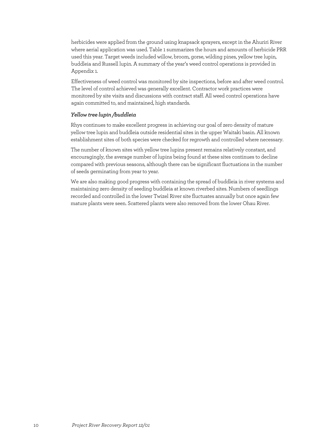herbicides were applied from the ground using knapsack sprayers, except in the Ahuriri River where aerial application was used. Table 1 summarizes the hours and amounts of herbicide PRR used this year. Target weeds included willow, broom, gorse, wilding pines, yellow tree lupin, buddleia and Russell lupin. A summary of the year's weed control operations is provided in Appendix 1.

Effectiveness of weed control was monitored by site inspections, before and after weed control. The level of control achieved was generally excellent. Contractor work practices were monitored by site visits and discussions with contract staff. All weed control operations have again committed to, and maintained, high standards.

#### *Yellowtree lupin /buddleia*

Rhys continues to make excellent progress in achieving our goal of zero density of mature yellow tree lupin and buddleia outside residential sites in the upper Waitaki basin. All known establishment sites of both species were checked for regrowth and controlled where necessary.

The number of known sites with yellow tree lupins present remains relatively constant, and encouragingly, the average number of lupins being found at these sites continues to decline compared with previous seasons, although there can be significant fluctuations in the number of seeds germinating from year to year.

We are also making good progress with containing the spread of buddleia in river systems and maintaining zero density of seeding buddleia at known riverbed sites. Numbers of seedlings recorded and controlled in the lower Twizel River site fluctuates annually but once again few mature plants were seen. Scattered plants were also removed from the lower Ohau River.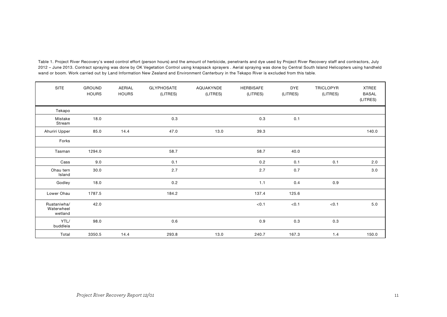| <b>SITE</b>                          | <b>GROUND</b><br><b>HOURS</b> | AERIAL<br><b>HOURS</b> | GLYPHOSATE<br>(LITRES) | AQUAKYNDE<br>(LITRES) | HERBISAFE<br>(LITRES) | <b>DYE</b><br>(LITRES) | TRICLOPYR<br>(LITRES) | <b>XTREE</b><br><b>BASAL</b><br>(LITRES) |
|--------------------------------------|-------------------------------|------------------------|------------------------|-----------------------|-----------------------|------------------------|-----------------------|------------------------------------------|
| Tekapo                               |                               |                        |                        |                       |                       |                        |                       |                                          |
| Mistake<br>Stream                    | 18.0                          |                        | 0.3                    |                       | 0.3                   | 0.1                    |                       |                                          |
| Ahuriri Upper                        | 85.0                          | 14.4                   | 47.0                   | 13.0                  | 39.3                  |                        |                       | 140.0                                    |
| Forks                                |                               |                        |                        |                       |                       |                        |                       |                                          |
| Tasman                               | 1294.0                        |                        | 58.7                   |                       | 58.7                  | 40.0                   |                       |                                          |
| Cass                                 | 9.0                           |                        | 0.1                    |                       | 0.2                   | 0.1                    | 0.1                   | 2.0                                      |
| Ohau tern<br>Island                  | 30.0                          |                        | 2.7                    |                       | 2.7                   | 0.7                    |                       | 3.0                                      |
| Godley                               | 18.0                          |                        | 0.2                    |                       | 1.1                   | 0.4                    | 0.9                   |                                          |
| Lower Ohau                           | 1787.5                        |                        | 184.2                  |                       | 137.4                 | 125.6                  |                       |                                          |
| Ruataniwha/<br>Waterwheel<br>wetland | 42.0                          |                        |                        |                       | < 0.1                 | < 0.1                  | < 0.1                 | 5.0                                      |
| YTL/<br>buddleia                     | 98.0                          |                        | 0.6                    |                       | 0.9                   | 0.3                    | 0.3                   |                                          |
| Total                                | 3350.5                        | 14.4                   | 293.8                  | 13.0                  | 240.7                 | 167.3                  | 1.4                   | 150.0                                    |

Table 1. Project River Recovery's weed control effort (person hours) and the amount of herbicide, penetrants and dye used by Project River Recovery staff and contractors, July 2012 – June 2013. Contract spraying was done by OK Vegetation Control using knapsack sprayers . Aerial spraying was done by Central South Island Helicopters using handheld wand or boom. Work carried out by Land Information New Zealand and Environment Canterbury in the Tekapo River is excluded from this table.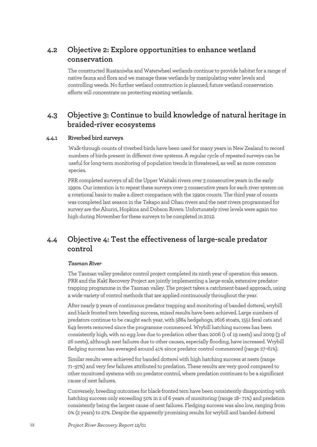### **4.2 Objective 2: Explore opportunities to enhance wetland conservation**

The constructed Ruataniwha and Waterwheel wetlands continue to provide habitat for a range of native fauna and flora and we manage these wetlands by manipulating water levels and controlling weeds. No further wetland construction is planned; future wetland conservation efforts will concentrate on protecting existing wetlands.

### **4.3 Objective 3: Continue to build knowledge of natural heritage in braided-river ecosystems**

### **4.4.1 Riverbed bird surveys**

Walk-through counts of riverbed birds have been used for many years in New Zealand to record numbers of birds present in different river systems. A regular cycle of repeated surveys can be useful for long-term monitoring of population trends in threatened, as well as more common species.

PRR completed surveys of all the Upper Waitaki rivers over 3 consecutive years in the early 1990s. Our intention is to repeat these surveys over 3 consecutive years for each river system on a rotational basis to make a direct comparison with the 1990s counts. The third year of counts was completed last season in the Tekapo and Ohau rivers and the next rivers programmed for survey are the Ahuriri, Hopkins and Dobson Rivers. Unfortunately river levels were again too high during November for these surveys to be completed in 2012.

### **4.4 Objective 4: Test the effectiveness of large-scale predator control**

#### *Tasman River*

The Tasman valley predator control project completed its ninth year of operation this season. PRR and the Kakī Recovery Project are jointly implementing a large-scale, extensive predatortrapping programme in the Tasman valley. The project takes a catchment-based approach, using a wide variety of control methods that are applied continuously throughout the year.

After nearly 9 years of continuous predator trapping and monitoring of banded dotterel, wrybill and black fronted tern breeding success, mixed results have been achieved. Large numbers of predators continue to be caught each year, with 5884 hedgehogs, 2616 stoats, 1551 feral cats and 649 ferrets removed since the programme commenced. Wrybill hatching success has been consistently high, with no egg loss due to predation other than 2006 (1 of 19 nests) and 2009 (3 of 26 nests), although nest failures due to other causes, especially flooding, have increased. Wrybill fledging success has averaged around 41% since predator control commenced (range 27–61%).

Similar results were achieved for banded dotterel with high hatching success at nests (range 71–97%) and very few failures attributed to predation. These results are very good compared to other monitored systems with no predator control, where predation continues to be a significant cause of nest failures.

Conversely, breeding outcomes for black-fronted tern have been consistently disappointing with hatching success only exceeding 50% in 2 of 6 years of monitoring (range 18– 71%) and predation consistently being the largest cause of nest failures. Fledging success was also low, ranging from 0% (2 years) to 27%. Despite the apparently promising results for wrybill and banded dotterel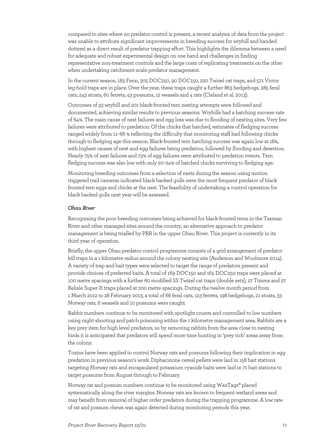compared to sites where no predator control is present, a recent analysis of data from the project was unable to attribute significant improvements in breeding success for wrybill and banded dotterel as a direct result of predator trapping effort. This highlights the dilemma between a need for adequate and robust experimental design on one hand and challenges in finding representative non-treatment controls and the large costs of replicating treatments on the other when undertaking catchment-scale predator management.

In the current season,183 Fenn, 305 DOC250, 90 DOC150, 220 Twizel cat traps, and 571 Victor leg-hold traps are in place. Over the year, these traps caught a further 863 hedgehogs, 285 feral cats, 243 stoats, 60 ferrets, 43 possums, 12 weasels and 4 rats (Cleland et al. 2013).

Outcomes of 33 wrybill and 201 black-fronted tern nesting attempts were followed and documented, achieving similar results to previous seasons. Wrybills had a hatching success rate of 64%. The main cause of nest failures and egg loss was due to flooding of nesting sites. Very few failures were attributed to predation. Of the chicks that hatched, estimates of fledging success ranged widely from 11–66 % reflecting the difficulty that monitoring staff had following chicks through to fledging age this season. Black-fronted tern hatching success was again low at 18%, with highest causes of nest and egg failures being predation, followed by flooding and desertion. Nearly 75% of nest failures and 73% of egg failures were attributed to predation events. Tern fledging success was also low with only 20–24% of hatched chicks surviving to fledging age.

Monitoring breeding outcomes from a selection of nests during the season using motion triggered trail cameras indicated black backed gulls were the most frequent predator of black fronted tern eggs and chicks at the nest. The feasibility of undertaking a control operation for black backed gulls next year will be assessed.

#### *Ohau River*

Recognising the poor breeding outcomes being achieved for black-fronted terns in the Tasman River and other managed sites around the country, an alternative approach to predator management is being trialled by PRR in the upper Ohau River. This project is currently in its third year of operation.

Briefly, the upper Ohau predator control programme consists of a grid arrangement of predator kill traps in a 1 kilometre radius around the colony nesting site (Anderson and Woolmore 2014). A variety of trap and bait types were selected to target the range of predators present and provide choices of preferred baits. A total of 169 DOC150 and 165 DOC250 traps were placed at 100 metre spacings with a further 60 modified SS Twizel cat traps (double sets), 27 Timms and 27 Belisle Super-X traps placed at 200 metre spacings. During the twelve month period from 1 March 2012 to 28 February 2013, a total of 66 feral cats, 123 ferrets, 198 hedgehogs, 21 stoats, 33 Norway rats, 6 weasels and 10 possums were caught.

Rabbit numbers continue to be monitored with spotlight counts and controlled to low numbers using night shooting and patch poisoning within the 1 kilometre management area. Rabbits are a key prey item for high level predators, so by removing rabbits from the area close to nesting birds it is anticipated that predators will spend more time hunting in 'prey rich' areas away from the colony.

Toxins have been applied to control Norway rats and possums following their implication in egg predation in previous season's work. Diphacinone cereal pellets were laid in 158 bait stations targeting Norway rats and encapsulated potassium cyanide baits were laid in 71 bait stations to target possums from August through to February.

Norway rat and possum numbers continue to be monitored using WaxTags® placed systematically along the river margins. Norway rats are known to frequent wetland areas and may benefit from removal of higher order predators during the trapping programme. A low rate of rat and possum chews was again detected during monitoring periods this year.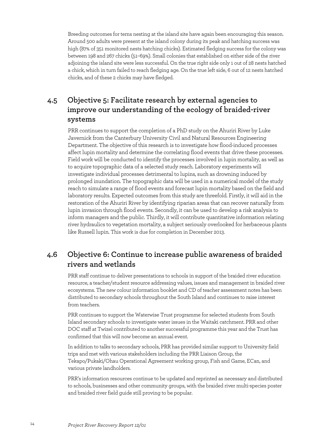Breeding outcomes for terns nesting at the island site have again been encouraging this season. Around 500 adults were present at the island colony during its peak and hatching success was high (87% of 351 monitored nests hatching chicks). Estimated fledging success for the colony was between 198 and 267 chicks (51–69%). Small colonies that established on either side of the river adjoining the island site were less successful. On the true right side only 1 out of 28 nests hatched a chick, which in turn failed to reach fledging age. On the true left side, 6 out of 12 nests hatched chicks, and of these 2 chicks may have fledged.

### **4.5 Objective 5: Facilitate research by external agencies to improve our understanding of the ecology of braided-river systems**

PRR continues to support the completion of a PhD study on the Ahuriri River by Luke Javernick from the Canterbury University Civil and Natural Resources Engineering Department. The objective of this research is to investigate how flood-induced processes affect lupin mortality and determine the correlating flood events that drive these processes. Field work will be conducted to identify the processes involved in lupin mortality, as well as to acquire topographic data of a selected study reach. Laboratory experiments will investigate individual processes detrimental to lupins, such as drowning induced by prolonged inundation. The topographic data will be used in a numerical model of the study reach to simulate a range of flood events and forecast lupin mortality based on the field and laboratory results. Expected outcomes from this study are threefold. Firstly, it will aid in the restoration of the Ahuriri River by identifying riparian areas that can recover naturally from lupin invasion through flood events. Secondly, it can be used to develop a risk analysis to inform managers and the public. Thirdly, it will contribute quantitative information relating river hydraulics to vegetation mortality, a subject seriously overlooked for herbaceous plants like Russell lupin. This work is due for completion in December 2013.

### **4.6 Objective 6: Continue to increase public awareness of braided rivers and wetlands**

PRR staff continue to deliver presentations to schools in support of the braided river education resource, a teacher/student resource addressing values, issues and management in braided river ecosystems. The new colour information booklet and CD of teacher assessment notes has been distributed to secondary schools throughout the South Island and continues to raise interest from teachers.

PRR continues to support the Waterwise Trust programme for selected students from South Island secondary schools to investigate water issues in the Waitaki catchment. PRR and other DOC staff at Twizel contributed to another successful programme this year and the Trust has confirmed that this will now become an annual event.

In addition to talks to secondary schools, PRR has provided similar support to University field trips and met with various stakeholders including the PRR Liaison Group, the Tekapo/Pukaki/Ohau Operational Agreement working group, Fish and Game, ECan, and various private landholders.

PRR's information resources continue to be updated and reprinted as necessary and distributed to schools, businesses and other community groups, with the braided river multi-species poster and braided river field guide still proving to be popular.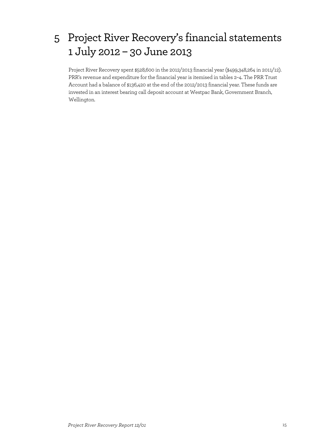# 5 Project River Recovery's financial statements 1 July 2012 – 30 June 2013

Project River Recovery spent \$528,600 in the 2012/2013 financial year (\$499,348,264 in 2011/12). PRR's revenue and expenditure for the financial year is itemised in tables 2–4. The PRR Trust Account had a balance of \$136,420 at the end of the 2012/2013 financial year. These funds are invested in an interest bearing call deposit account at Westpac Bank, Government Branch, Wellington.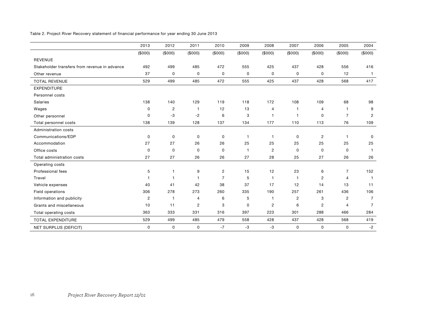| Table 2. Project River Recovery statement of financial performance for year ending 30 June 2013 |  |
|-------------------------------------------------------------------------------------------------|--|
|-------------------------------------------------------------------------------------------------|--|

|                                               | 2013           | 2012           | 2011           | 2010           | 2009           | 2008           | 2007           | 2006           | 2005           | 2004           |
|-----------------------------------------------|----------------|----------------|----------------|----------------|----------------|----------------|----------------|----------------|----------------|----------------|
|                                               | (\$000)        | (\$000)        | (\$000)        | (\$000)        | (\$000)        | (\$000)        | (\$000)        | (\$000)        | (\$000)        | (\$000)        |
| <b>REVENUE</b>                                |                |                |                |                |                |                |                |                |                |                |
| Stakeholder transfers from revenue in advance | 492            | 499            | 485            | 472            | 555            | 425            | 437            | 428            | 556            | 416            |
| Other revenue                                 | 37             | 0              | 0              | 0              | 0              | 0              | 0              | 0              | 12             | $\mathbf{1}$   |
| <b>TOTAL REVENUE</b>                          | 529            | 499            | 485            | 472            | 555            | 425            | 437            | 428            | 568            | 417            |
| <b>EXPENDITURE</b>                            |                |                |                |                |                |                |                |                |                |                |
| Personnel costs                               |                |                |                |                |                |                |                |                |                |                |
| Salaries                                      | 138            | 140            | 129            | 119            | 118            | 172            | 108            | 109            | 68             | 98             |
| Wages                                         | 0              | $\overline{2}$ | $\mathbf{1}$   | 12             | 13             | $\overline{4}$ | $\mathbf{1}$   | 4              | $\mathbf{1}$   | 9              |
| Other personnel                               | 0              | -3             | $-2$           | 6              | 3              | 1              | $\mathbf{1}$   | 0              | $\overline{7}$ | $\overline{2}$ |
| Total personnel costs                         | 138            | 139            | 128            | 137            | 134            | 177            | 110            | 113            | 76             | 109            |
| Administration costs                          |                |                |                |                |                |                |                |                |                |                |
| Communications/EDP                            | 0              | $\mathbf 0$    | 0              | $\mathbf 0$    | $\mathbf{1}$   | $\mathbf{1}$   | $\mathbf 0$    | $\overline{c}$ | 1              | $\Omega$       |
| Accommodation                                 | 27             | 27             | 26             | 26             | 25             | 25             | 25             | 25             | 25             | 25             |
| Office costs                                  | 0              | $\mathbf 0$    | 0              | $\mathbf 0$    | $\overline{1}$ | $\overline{c}$ | 0              | 0              | 0              | -1             |
| Total administration costs                    | 27             | 27             | 26             | 26             | 27             | 28             | 25             | 27             | 26             | 26             |
| Operating costs                               |                |                |                |                |                |                |                |                |                |                |
| Professional fees                             | 5              | $\mathbf{1}$   | 9              | $\overline{c}$ | 15             | 12             | 23             | 6              | $\overline{7}$ | 152            |
| Travel                                        | $\mathbf{1}$   | $\overline{1}$ | $\mathbf{1}$   | $\overline{7}$ | 5              | $\mathbf{1}$   | $\mathbf{1}$   | $\overline{c}$ | $\overline{4}$ | $\overline{1}$ |
| Vehicle expenses                              | 40             | 41             | 42             | 38             | 37             | 17             | 12             | 14             | 13             | 11             |
| Field operations                              | 306            | 278            | 273            | 260            | 335            | 190            | 257            | 261            | 436            | 106            |
| Information and publicity                     | $\overline{c}$ | $\mathbf{1}$   | $\overline{4}$ | 6              | 5              | 1              | $\overline{2}$ | 3              | $\overline{c}$ | $\overline{7}$ |
| Grants and miscellaneous                      | 10             | 11             | $\overline{2}$ | 3              | $\mathbf 0$    | $\overline{c}$ | 6              | $\overline{c}$ | 4              | $\overline{7}$ |
| Total operating costs                         | 363            | 333            | 331            | 316            | 397            | 223            | 301            | 288            | 466            | 284            |
| <b>TOTAL EXPENDITURE</b>                      | 529            | 499            | 485            | 479            | 558            | 428            | 437            | 428            | 568            | 419            |
| NET SURPLUS (DEFICIT)                         | $\mathbf 0$    | 0              | 0              | $-7$           | -3             | $-3$           | $\mathbf 0$    | 0              | 0              | $-2$           |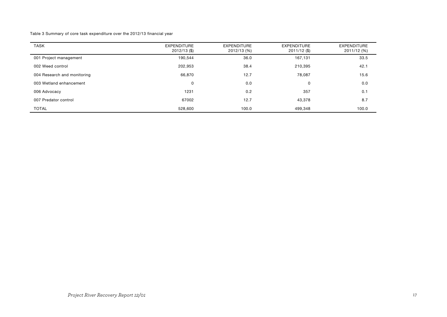Table 3 Summary of core task expenditure over the 2012/13 financial year

| <b>TASK</b>                 | <b>EXPENDITURE</b><br>$2012/13$ (\$) | <b>EXPENDITURE</b><br>2012/13 (%) | <b>EXPENDITURE</b><br>2011/12 (\$) | <b>EXPENDITURE</b><br>2011/12 (%) |
|-----------------------------|--------------------------------------|-----------------------------------|------------------------------------|-----------------------------------|
| 001 Project management      | 190,544                              | 36.0                              | 167,131                            | 33.5                              |
| 002 Weed control            | 202,953                              | 38.4                              | 210,395                            | 42.1                              |
| 004 Research and monitoring | 66,870                               | 12.7                              | 78.087                             | 15.6                              |
| 003 Wetland enhancement     | 0                                    | 0.0                               | 0                                  | 0.0                               |
| 006 Advocacy                | 1231                                 | 0.2                               | 357                                | 0.1                               |
| 007 Predator control        | 67002                                | 12.7                              | 43,378                             | 8.7                               |
| <b>TOTAL</b>                | 528,600                              | 100.0                             | 499,348                            | 100.0                             |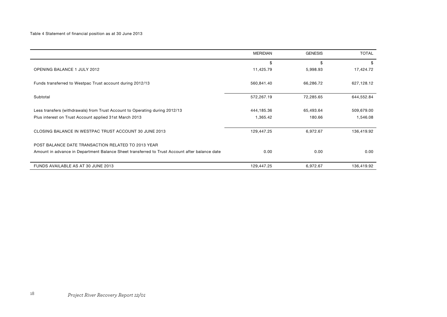|                                                                                               | <b>MERIDIAN</b> | <b>GENESIS</b> | <b>TOTAL</b> |
|-----------------------------------------------------------------------------------------------|-----------------|----------------|--------------|
|                                                                                               | \$              | \$             | \$           |
| <b>OPENING BALANCE 1 JULY 2012</b>                                                            | 11,425.79       | 5,998.93       | 17,424.72    |
| Funds transferred to Westpac Trust account during 2012/13                                     | 560,841.40      | 66,286.72      | 627,128.12   |
| Subtotal                                                                                      | 572,267.19      | 72,285.65      | 644,552.84   |
| Less transfers (withdrawals) from Trust Account to Operating during 2012/13                   | 444,185.36      | 65,493.64      | 509,679.00   |
| Plus interest on Trust Account applied 31st March 2013                                        | 1,365.42        | 180.66         | 1,546.08     |
| CLOSING BALANCE IN WESTPAC TRUST ACCOUNT 30 JUNE 2013                                         | 129,447.25      | 6,972.67       | 136,419.92   |
| POST BALANCE DATE TRANSACTION RELATED TO 2013 YEAR                                            |                 |                |              |
| Amount in advance in Department Balance Sheet transferred to Trust Account after balance date | 0.00            | 0.00           | 0.00         |
| FUNDS AVAILABLE AS AT 30 JUNE 2013                                                            | 129,447.25      | 6,972.67       | 136,419.92   |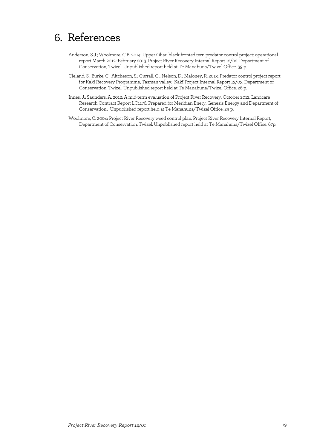# 6. References

- Anderson, S.J.; Woolmore, C.B. 2014: Upper Ohau black-fronted tern predator-control project: operational report March 2012–February 2013. Project River Recovery Internal Report 12/02. Department of Conservation, Twizel. Unpublished report held at Te Manahuna/Twizel Office. 39 p.
- Cleland, S.; Burke, C.; Aitcheson, S.; Currall, G.; Nelson, D.; Maloney, R. 2013: Predator control project report for Kakī Recovery Programme, Tasman valley. Kakī Project Internal Report 13/03. Department of Conservation, Twizel. Unpublished report held at Te Manahuna/Twizel Office. 26 p.
- Innes, J.; Saunders, A. 2012: A mid-term evaluation of Project River Recovery, October 2012. Landcare Research Contract Report LC1176. Prepared for Meridian Enery, Genesis Energy and Department of Conservation.. Unpublished report held at Te Manahuna/Twizel Office. 29 p.
- Woolmore, C. 2004: Project River Recovery weed control plan. Project River Recovery Internal Report, Department of Conservation, Twizel. Unpublished report held at Te Manahuna/Twizel Office. 67p.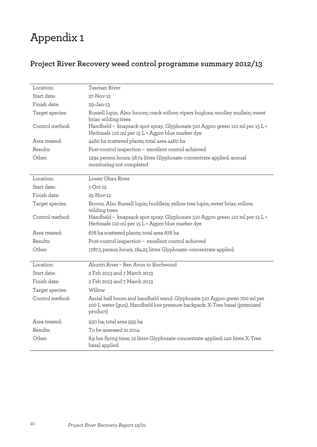# Appendix 1

## **Project River Recovery weed control programme summary 2012/13**

| Location:       | Tasman River                                                                                                                                                       |
|-----------------|--------------------------------------------------------------------------------------------------------------------------------------------------------------------|
| Start date:     | 27-Nov-12                                                                                                                                                          |
| Finish date:    | 29-Jan-13                                                                                                                                                          |
| Target species: | Russell lupin. Also: broom; crack willow; vipers bugloss; woolley mullein; sweet<br>briar; wilding trees                                                           |
| Control method: | Handheld - knapsack spot spray. Glyphosate 510 Agpro green 110 ml per 15 L +<br>Herbisafe 110 ml per 15 L + Agpro blue marker dye                                  |
| Area treated:   | 4460 ha scattered plants; total area 4460 ha                                                                                                                       |
| Results:        | Post-control inspection - excellent control achieved                                                                                                               |
| Other:          | 1294 person hours; 58.74 litres Glyphosate concentrate applied; annual<br>monitoring not completed                                                                 |
| Location:       | Lower Ohau River                                                                                                                                                   |
| Start date:     | $1-Cct-12$                                                                                                                                                         |
| Finish date:    | 25-Nov-12                                                                                                                                                          |
| Target species: | Broom. Also Russell lupin; buddleia; yellow tree lupin; sweet briar; willow;<br>wilding trees                                                                      |
| Control method: | Handheld - knapsack spot spray. Glyphosate 510 Agpro green 110 ml per 15 L +<br>Herbisafe 110 ml per 15 L + Agpro blue marker dye                                  |
| Area treated:   | 678 ha scattered plants; total area 678 ha                                                                                                                         |
| Results:        | Post-control inspection - excellent control achieved                                                                                                               |
| Other:          | 1787.5 person hours; 184.25 litres Glyphosate concentrate applied.                                                                                                 |
| Location:       | Ahuriri River - Ben Avon to Birchwood                                                                                                                              |
| Start date:     | 2 Feb 2013 and 7 March 2013                                                                                                                                        |
| Finish date:    | 2 Feb 2013 and 7 March 2013                                                                                                                                        |
| Target species: | Willow                                                                                                                                                             |
| Control method: | Aerial half boom and handheld wand: Glyphosate 510 Agpro green 700 ml per<br>100 L water (gun). Handheld low pressure backpack: X-Tree basal (premixed<br>product) |
| Area treated:   | 930 ha; total area 935 ha                                                                                                                                          |
| Results:        | To be assessed in 2014                                                                                                                                             |
| Other:          | 8.9 hrs flying time; 12 litres Glyphosate concentrate applied; 140 litres X-Tree<br>basal applied                                                                  |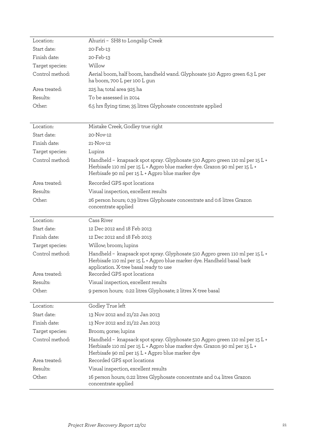| Location:       | Ahuriri - SH8 to Longslip Creek                                                                                                                                                                                |
|-----------------|----------------------------------------------------------------------------------------------------------------------------------------------------------------------------------------------------------------|
| Start date:     | 20-Feb-13                                                                                                                                                                                                      |
| Finish date:    | 20-Feb-13                                                                                                                                                                                                      |
| Target species: | Willow                                                                                                                                                                                                         |
| Control method: | Aerial boom, half boom, handheld wand. Glyphosate 510 Agpro green 6.3 L per<br>ha boom, 700 L per 100 L gun                                                                                                    |
| Area treated:   | 225 ha; total area 925 ha                                                                                                                                                                                      |
| Results:        | To be assessed in 2014                                                                                                                                                                                         |
| Other:          | 6.5 hrs flying time; 35 litres Glyphosate concentrate applied                                                                                                                                                  |
| Location:       | Mistake Creek, Godley true right                                                                                                                                                                               |
| Start date:     | 20-Nov-12                                                                                                                                                                                                      |
| Finish date:    | 21-Nov-12                                                                                                                                                                                                      |
| Target species: | Lupins                                                                                                                                                                                                         |
| Control method: | Handheld - knapsack spot spray. Glyphosate 510 Agpro green 110 ml per 15 L +<br>Herbisafe 110 ml per 15 L + Agpro blue marker dye. Grazon 90 ml per 15 L +<br>Herbisafe 90 ml per 15 L + Agpro blue marker dye |
| Area treated:   | Recorded GPS spot locations                                                                                                                                                                                    |
| Results:        | Visual inspection, excellent results                                                                                                                                                                           |
| Other:          | 26 person hours; 0.39 litres Glyphosate concentrate and 0.6 litres Grazon<br>concentrate applied                                                                                                               |
| Location:       | Cass River                                                                                                                                                                                                     |
| Start date:     | 12 Dec 2012 and 18 Feb 2013                                                                                                                                                                                    |
| Finish date:    | 12 Dec 2012 and 18 Feb 2013                                                                                                                                                                                    |
| Target species: | Willow; broom; lupins                                                                                                                                                                                          |
| Control method: | Handheld - knapsack spot spray. Glyphosate 510 Agpro green 110 ml per 15 L +<br>Herbisafe 110 ml per 15 L + Agpro blue marker dye. Handheld basal bark                                                         |
|                 | application. X-tree basal ready to use                                                                                                                                                                         |
| Area treated:   | Recorded GPS spot locations                                                                                                                                                                                    |
| Results:        | Visual inspection, excellent results                                                                                                                                                                           |
| Other:          | 9 person hours; 0.22 litres Glyphosate; 2 litres X-tree basal                                                                                                                                                  |
| Location:       | Godley True left                                                                                                                                                                                               |
| Start date:     | 13 Nov 2012 and 21/22 Jan 2013                                                                                                                                                                                 |
| Finish date:    | 13 Nov 2012 and 21/22 Jan 2013                                                                                                                                                                                 |
| Target species: | Broom; gorse; lupins                                                                                                                                                                                           |
| Control method: | Handheld - knapsack spot spray. Glyphosate 510 Agpro green 110 ml per 15 L +<br>Herbisafe 110 ml per 15 L + Agpro blue marker dye. Grazon 90 ml per 15 L +<br>Herbisafe 90 ml per 15 L + Agpro blue marker dye |
| Area treated:   | Recorded GPS spot locations                                                                                                                                                                                    |
| Results:        | Visual inspection, excellent results                                                                                                                                                                           |
| Other:          | 16 person hours; 0.22 litres Glyphosate concentrate and 0.4 litres Grazon<br>concentrate applied                                                                                                               |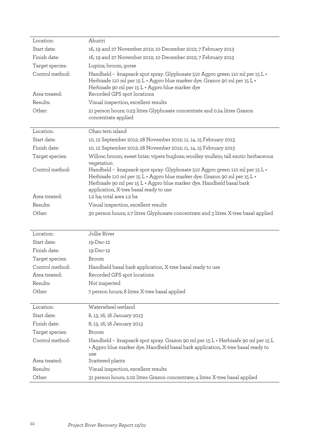| Location:                        | Ahuriri                                                                                                                                                                                                                                                                       |
|----------------------------------|-------------------------------------------------------------------------------------------------------------------------------------------------------------------------------------------------------------------------------------------------------------------------------|
| Start date:                      | 16, 19 and 27 November 2012; 10 December 2012; 7 February 2013                                                                                                                                                                                                                |
| Finish date:                     | 16, 19 and 27 November 2012; 10 December 2012; 7 February 2013                                                                                                                                                                                                                |
| Target species:                  | Lupins; broom, gorse                                                                                                                                                                                                                                                          |
| Control method:<br>Area treated: | Handheld - knapsack spot spray. Glyphosate 510 Agpro green 110 ml per 15 L +<br>Herbisafe 110 ml per 15 L + Agpro blue marker dye. Grazon 90 ml per 15 L +<br>Herbisafe 90 ml per 15 L + Agpro blue marker dye<br>Recorded GPS spot locations                                 |
| Results:                         | Visual inspection, excellent results                                                                                                                                                                                                                                          |
| Other:                           | 21 person hours; 0.23 litres Glyphosate concentrate and 0.24 litres Grazon<br>concentrate applied                                                                                                                                                                             |
| Location:                        | Ohau tern island                                                                                                                                                                                                                                                              |
| Start date:                      | 10, 12 September 2012; 28 November 2012; 11, 14, 15 February 2013                                                                                                                                                                                                             |
| Finish date:                     | 10, 12 September 2012; 28 November 2012; 11, 14, 15 February 2013                                                                                                                                                                                                             |
| Target species:                  | Willow; broom; sweet briar; vipers bugloss; woolley mullein; tall exotic herbaceous<br>vegetation                                                                                                                                                                             |
| Control method:                  | Handheld - knapsack spot spray. Glyphosate 510 Agpro green 110 ml per 15 L +<br>Herbisafe 110 ml per 15 L + Agpro blue marker dye. Grazon 90 ml per 15 L +<br>Herbisafe 90 ml per 15 L + Agpro blue marker dye. Handheld basal bark<br>application, X-tree basal ready to use |
| Area treated:                    | 1.2 ha; total area 1.2 ha                                                                                                                                                                                                                                                     |
| Results:                         | Visual inspection, excellent results                                                                                                                                                                                                                                          |
| Other:                           | 30 person hours; 2.7 litres Glyphosate concentrate and 3 litres X-tree basal applied                                                                                                                                                                                          |
| Location:                        | Jollie River                                                                                                                                                                                                                                                                  |
| Start date:                      | 19-Dec-12                                                                                                                                                                                                                                                                     |
| Finish date:                     | 19-Dec-12                                                                                                                                                                                                                                                                     |
| Target species:                  | Broom                                                                                                                                                                                                                                                                         |
| Control method:                  | Handheld basal bark application, X-tree basal ready to use                                                                                                                                                                                                                    |
| Area treated:                    | Recorded GPS spot locations                                                                                                                                                                                                                                                   |
| Results:                         | Not inspected                                                                                                                                                                                                                                                                 |
| Other:                           | 7 person hours; 8 litres X-tree basal applied                                                                                                                                                                                                                                 |
| Location:                        | Waterwheel wetland                                                                                                                                                                                                                                                            |
| Start date:                      | 8, 13, 16, 18 January 2013                                                                                                                                                                                                                                                    |
| Finish date:                     | 8, 13, 16, 18 January 2013                                                                                                                                                                                                                                                    |
| Target species:                  | Broom                                                                                                                                                                                                                                                                         |
| Control method:                  | Handheld - knapsack spot spray. Grazon 90 ml per 15 L + Herbisafe 90 ml per 15 L<br>+ Agpro blue marker dye. Handheld basal bark application, X-tree basal ready to<br>use                                                                                                    |
| Area treated:                    | Scattered plants                                                                                                                                                                                                                                                              |
| Results:                         | Visual inspection, excellent results                                                                                                                                                                                                                                          |
| Other:                           | 31 person hours; 2.02 litres Grazon concentrate; 4 litres X-tree basal applied                                                                                                                                                                                                |